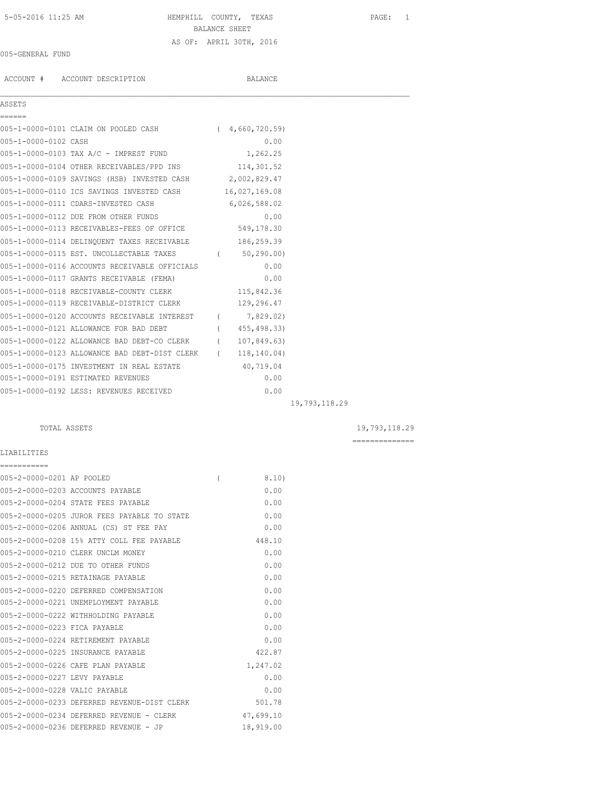# 5-05-2016 11:25 AM HEMPHILL COUNTY, TEXAS PAGE: 1 BALANCE SHEET AS OF: APRIL 30TH, 2016

## 005-GENERAL FUND

ACCOUNT # ACCOUNT DESCRIPTION BALANCE

## ASSETS

| ------               |                                                            |               |               |
|----------------------|------------------------------------------------------------|---------------|---------------|
|                      | 005-1-0000-0101 CLAIM ON POOLED CASH (4,660,720.59)        |               |               |
| 005-1-0000-0102 CASH |                                                            | 0.00          |               |
|                      | 005-1-0000-0103 TAX A/C - IMPREST FUND 1,262.25            |               |               |
|                      | 005-1-0000-0104 OTHER RECEIVABLES/PPD INS 114,301.52       |               |               |
|                      | 005-1-0000-0109 SAVINGS (HSB) INVESTED CASH 2,002,829.47   |               |               |
|                      | 005-1-0000-0110 ICS SAVINGS INVESTED CASH 16,027,169.08    |               |               |
|                      | 005-1-0000-0111 CDARS-INVESTED CASH                        | 6,026,588.02  |               |
|                      | 005-1-0000-0112 DUE FROM OTHER FUNDS                       | 0.00          |               |
|                      | 005-1-0000-0113 RECEIVABLES-FEES OF OFFICE 549,178.30      |               |               |
|                      | 005-1-0000-0114 DELINQUENT TAXES RECEIVABLE 186,259.39     |               |               |
|                      | 005-1-0000-0115 EST. UNCOLLECTABLE TAXES (60,290.00)       |               |               |
|                      | 005-1-0000-0116 ACCOUNTS RECEIVABLE OFFICIALS              | 0.00          |               |
|                      | 005-1-0000-0117 GRANTS RECEIVABLE (FEMA)                   | 0.00          |               |
|                      | 005-1-0000-0118 RECEIVABLE-COUNTY CLERK                    | 115,842.36    |               |
|                      | 005-1-0000-0119 RECEIVABLE-DISTRICT CLERK 129,296.47       |               |               |
|                      | 005-1-0000-0120 ACCOUNTS RECEIVABLE INTEREST (7,829.02)    |               |               |
|                      | 005-1-0000-0121 ALLOWANCE FOR BAD DEBT                     | (455, 498.33) |               |
|                      | 005-1-0000-0122 ALLOWANCE BAD DEBT-CO CLERK (107,849.63)   |               |               |
|                      | 005-1-0000-0123 ALLOWANCE BAD DEBT-DIST CLERK (118,140.04) |               |               |
|                      | 005-1-0000-0175 INVESTMENT IN REAL ESTATE 40,719.04        |               |               |
|                      | 005-1-0000-0191 ESTIMATED REVENUES                         | 0.00          |               |
|                      | 005-1-0000-0192 LESS: REVENUES RECEIVED                    | 0.00          |               |
|                      |                                                            |               | 19,793,118.29 |

 $\mathcal{L}_\mathcal{L} = \mathcal{L}_\mathcal{L}$ 

## TOTAL ASSETS 19,793,118.29

==============

## LIABILITIES

| ===========                   |                                             |                |           |
|-------------------------------|---------------------------------------------|----------------|-----------|
| 005-2-0000-0201 AP POOLED     |                                             | $\overline{ }$ | 8.10)     |
|                               | 005-2-0000-0203 ACCOUNTS PAYABLE            |                | 0.00      |
|                               | 005-2-0000-0204 STATE FEES PAYABLE          |                | 0.00      |
|                               | 005-2-0000-0205 JUROR FEES PAYABLE TO STATE |                | 0.00      |
|                               | 005-2-0000-0206 ANNUAL (CS) ST FEE PAY      |                | 0.00      |
|                               | 005-2-0000-0208 15% ATTY COLL FEE PAYABLE   |                | 448.10    |
|                               | 005-2-0000-0210 CLERK UNCLM MONEY           |                | 0.00      |
|                               | 005-2-0000-0212 DUE TO OTHER FUNDS          |                | 0.00      |
|                               | 005-2-0000-0215 RETAINAGE PAYABLE           |                | 0.00      |
|                               | 005-2-0000-0220 DEFERRED COMPENSATION       |                | 0.00      |
|                               | 005-2-0000-0221 UNEMPLOYMENT PAYABLE        |                | 0.00      |
|                               | 005-2-0000-0222 WITHHOLDING PAYABLE         |                | 0.00      |
| 005-2-0000-0223 FICA PAYABLE  |                                             |                | 0.00      |
|                               | 005-2-0000-0224 RETIREMENT PAYABLE          |                | 0.00      |
|                               | 005-2-0000-0225 INSURANCE PAYABLE           |                | 422.87    |
|                               | 005-2-0000-0226 CAFE PLAN PAYABLE           |                | 1,247.02  |
| 005-2-0000-0227 LEVY PAYABLE  |                                             |                | 0.00      |
| 005-2-0000-0228 VALIC PAYABLE |                                             |                | 0.00      |
|                               | 005-2-0000-0233 DEFERRED REVENUE-DIST CLERK |                | 501.78    |
|                               | 005-2-0000-0234 DEFERRED REVENUE - CLERK    |                | 47,699.10 |
|                               | 005-2-0000-0236 DEFERRED REVENUE - JP       |                | 18,919.00 |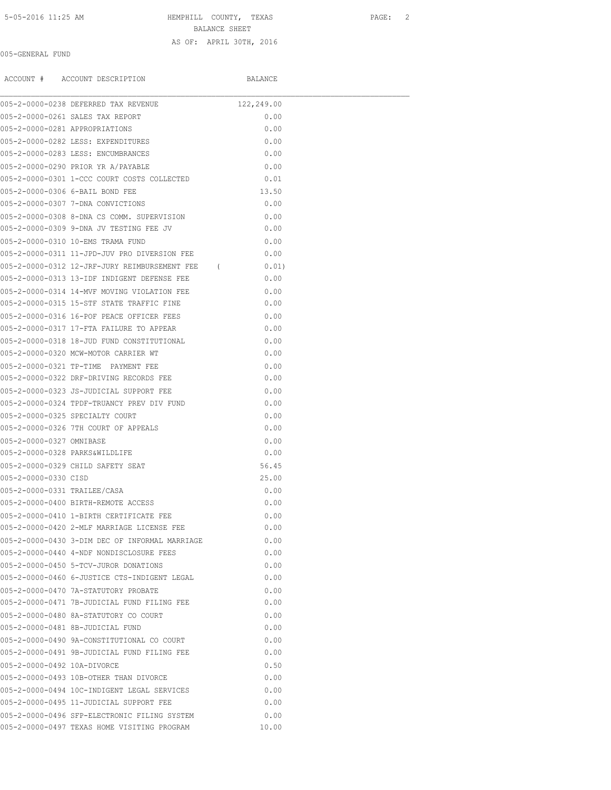5-05-2016 11:25 AM HEMPHILL COUNTY, TEXAS PAGE: 2

BALANCE SHEET

### AS OF: APRIL 30TH, 2016

## 005-GENERAL FUND

ACCOUNT # ACCOUNT DESCRIPTION BALANCE

|                                | 005-2-0000-0238 DEFERRED TAX REVENUE            | 122,249.00 |  |
|--------------------------------|-------------------------------------------------|------------|--|
|                                | 005-2-0000-0261 SALES TAX REPORT                | 0.00       |  |
| 005-2-0000-0281 APPROPRIATIONS |                                                 | 0.00       |  |
|                                | 005-2-0000-0282 LESS: EXPENDITURES              | 0.00       |  |
|                                | 005-2-0000-0283 LESS: ENCUMBRANCES              | 0.00       |  |
|                                | 005-2-0000-0290 PRIOR YR A/PAYABLE              | 0.00       |  |
|                                | 005-2-0000-0301 1-CCC COURT COSTS COLLECTED     | 0.01       |  |
|                                | 005-2-0000-0306 6-BAIL BOND FEE                 | 13.50      |  |
|                                | 005-2-0000-0307 7-DNA CONVICTIONS               | 0.00       |  |
|                                | 005-2-0000-0308 8-DNA CS COMM. SUPERVISION      | 0.00       |  |
|                                | 005-2-0000-0309 9-DNA JV TESTING FEE JV         | 0.00       |  |
|                                | 005-2-0000-0310 10-EMS TRAMA FUND               | 0.00       |  |
|                                | 005-2-0000-0311 11-JPD-JUV PRO DIVERSION FEE    | 0.00       |  |
|                                | 005-2-0000-0312 12-JRF-JURY REIMBURSEMENT FEE ( | 0.01)      |  |
|                                | 005-2-0000-0313 13-IDF INDIGENT DEFENSE FEE     | 0.00       |  |
|                                | 005-2-0000-0314 14-MVF MOVING VIOLATION FEE     | 0.00       |  |
|                                | 005-2-0000-0315 15-STF STATE TRAFFIC FINE       | 0.00       |  |
|                                | 005-2-0000-0316 16-POF PEACE OFFICER FEES       | 0.00       |  |
|                                | 005-2-0000-0317 17-FTA FAILURE TO APPEAR        | 0.00       |  |
|                                | 005-2-0000-0318 18-JUD FUND CONSTITUTIONAL      | 0.00       |  |
|                                | 005-2-0000-0320 MCW-MOTOR CARRIER WT            | 0.00       |  |
|                                | 005-2-0000-0321 TP-TIME PAYMENT FEE             | 0.00       |  |
|                                | 005-2-0000-0322 DRF-DRIVING RECORDS FEE         | 0.00       |  |
|                                | 005-2-0000-0323 JS-JUDICIAL SUPPORT FEE         | 0.00       |  |
|                                | 005-2-0000-0324 TPDF-TRUANCY PREV DIV FUND      | 0.00       |  |
|                                | 005-2-0000-0325 SPECIALTY COURT                 | 0.00       |  |
|                                | 005-2-0000-0326 7TH COURT OF APPEALS            | 0.00       |  |
| 005-2-0000-0327 OMNIBASE       |                                                 | 0.00       |  |
| 005-2-0000-0328 PARKS&WILDLIFE |                                                 | 0.00       |  |
|                                | 005-2-0000-0329 CHILD SAFETY SEAT               | 56.45      |  |
| 005-2-0000-0330 CISD           |                                                 | 25.00      |  |
| 005-2-0000-0331 TRAILEE/CASA   |                                                 | 0.00       |  |
|                                | 005-2-0000-0400 BIRTH-REMOTE ACCESS             | 0.00       |  |
|                                | 005-2-0000-0410 1-BIRTH CERTIFICATE FEE         | 0.00       |  |
|                                | 005-2-0000-0420 2-MLF MARRIAGE LICENSE FEE      | 0.00       |  |
|                                | 005-2-0000-0430 3-DIM DEC OF INFORMAL MARRIAGE  | 0.00       |  |
|                                | 005-2-0000-0440 4-NDF NONDISCLOSURE FEES        | 0.00       |  |
|                                | 005-2-0000-0450 5-TCV-JUROR DONATIONS           | 0.00       |  |
|                                | 005-2-0000-0460 6-JUSTICE CTS-INDIGENT LEGAL    | 0.00       |  |
|                                | 005-2-0000-0470 7A-STATUTORY PROBATE            | 0.00       |  |
|                                | 005-2-0000-0471 7B-JUDICIAL FUND FILING FEE     | 0.00       |  |
|                                | 005-2-0000-0480 8A-STATUTORY CO COURT           | 0.00       |  |
|                                | 005-2-0000-0481 8B-JUDICIAL FUND                | 0.00       |  |
|                                | 005-2-0000-0490 9A-CONSTITUTIONAL CO COURT      | 0.00       |  |
|                                | 005-2-0000-0491 9B-JUDICIAL FUND FILING FEE     | 0.00       |  |
| 005-2-0000-0492 10A-DIVORCE    |                                                 | 0.50       |  |
|                                | 005-2-0000-0493 10B-OTHER THAN DIVORCE          | 0.00       |  |
|                                | 005-2-0000-0494 10C-INDIGENT LEGAL SERVICES     | 0.00       |  |
|                                | 005-2-0000-0495 11-JUDICIAL SUPPORT FEE         | 0.00       |  |
|                                |                                                 |            |  |
|                                | 005-2-0000-0496 SFP-ELECTRONIC FILING SYSTEM    | 0.00       |  |
|                                | 005-2-0000-0497 TEXAS HOME VISITING PROGRAM     | 10.00      |  |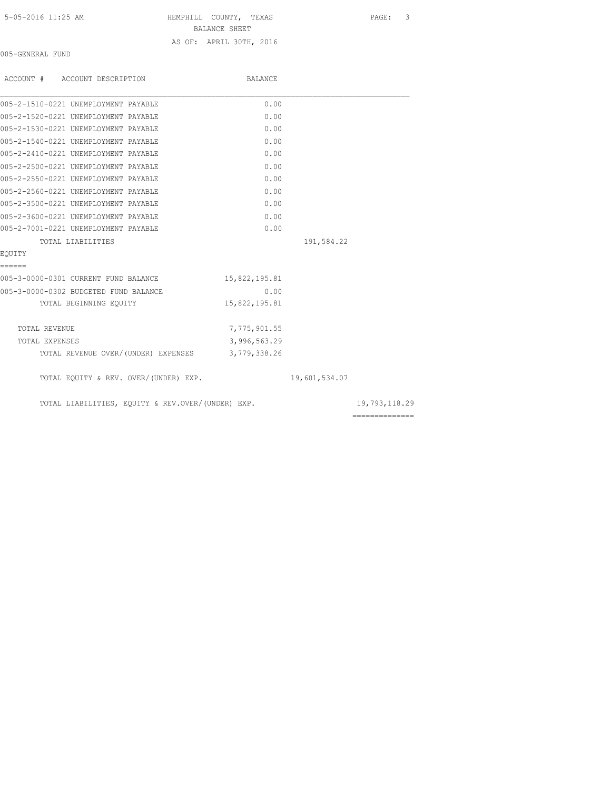HEMPHILL COUNTY, TEXAS PAGE: 3 BALANCE SHEET AS OF: APRIL 30TH, 2016

005-GENERAL FUND

| ACCOUNT # ACCOUNT DESCRIPTION                     | BALANCE       |               |                 |
|---------------------------------------------------|---------------|---------------|-----------------|
| 005-2-1510-0221 UNEMPLOYMENT PAYABLE              | 0.00          |               |                 |
| 005-2-1520-0221 UNEMPLOYMENT PAYABLE              | 0.00          |               |                 |
| 005-2-1530-0221 UNEMPLOYMENT PAYABLE              | 0.00          |               |                 |
| 005-2-1540-0221 UNEMPLOYMENT PAYABLE              | 0.00          |               |                 |
| 005-2-2410-0221 UNEMPLOYMENT PAYABLE              | 0.00          |               |                 |
| 005-2-2500-0221 UNEMPLOYMENT PAYABLE              | 0.00          |               |                 |
| 005-2-2550-0221 UNEMPLOYMENT PAYABLE              | 0.00          |               |                 |
| 005-2-2560-0221 UNEMPLOYMENT PAYABLE              | 0.00          |               |                 |
| 005-2-3500-0221 UNEMPLOYMENT PAYABLE              | 0.00          |               |                 |
| 005-2-3600-0221 UNEMPLOYMENT PAYABLE              | 0.00          |               |                 |
| 005-2-7001-0221 UNEMPLOYMENT PAYABLE              | 0.00          |               |                 |
| TOTAL LIABILITIES                                 |               | 191,584.22    |                 |
| EOUITY                                            |               |               |                 |
| ======                                            |               |               |                 |
| 005-3-0000-0301 CURRENT FUND BALANCE              | 15,822,195.81 |               |                 |
| 005-3-0000-0302 BUDGETED FUND BALANCE             | 0.00          |               |                 |
| TOTAL BEGINNING EQUITY                            | 15,822,195.81 |               |                 |
| TOTAL REVENUE                                     | 7,775,901.55  |               |                 |
| TOTAL EXPENSES                                    | 3,996,563.29  |               |                 |
| TOTAL REVENUE OVER/(UNDER) EXPENSES 3,779,338.26  |               |               |                 |
| TOTAL EQUITY & REV. OVER/(UNDER) EXP.             |               | 19,601,534.07 |                 |
| TOTAL LIABILITIES, EQUITY & REV.OVER/(UNDER) EXP. |               |               | 19,793,118.29   |
|                                                   |               |               | --------------- |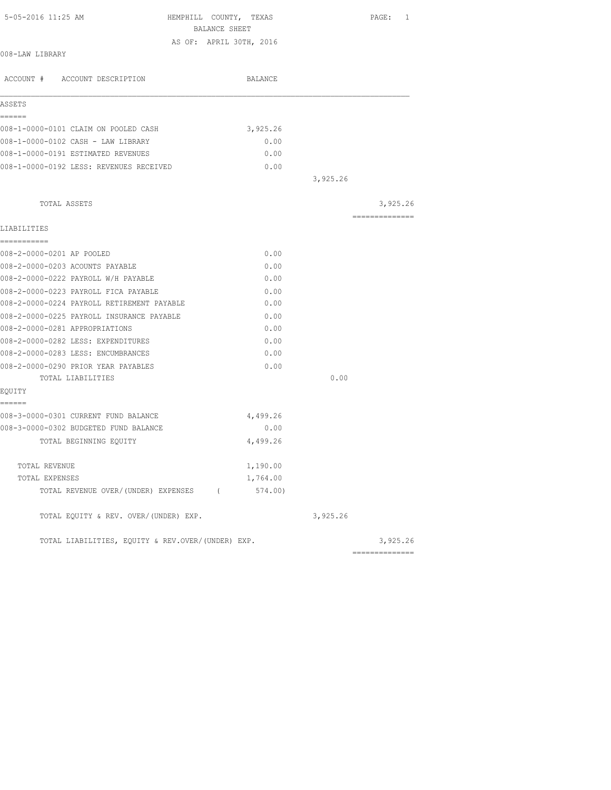| 5-05-2016 11:25 AM                                | HEMPHILL COUNTY, TEXAS  | PAGE: 1         |
|---------------------------------------------------|-------------------------|-----------------|
|                                                   | BALANCE SHEET           |                 |
| 008-LAW LIBRARY                                   | AS OF: APRIL 30TH, 2016 |                 |
|                                                   |                         |                 |
| ACCOUNT # ACCOUNT DESCRIPTION                     | BALANCE                 |                 |
| ASSETS                                            |                         |                 |
| ======                                            |                         |                 |
| 008-1-0000-0101 CLAIM ON POOLED CASH              | 3,925.26                |                 |
| 008-1-0000-0102 CASH - LAW LIBRARY                | 0.00                    |                 |
| 008-1-0000-0191 ESTIMATED REVENUES                | 0.00                    |                 |
| 008-1-0000-0192 LESS: REVENUES RECEIVED           | 0.00                    |                 |
|                                                   |                         | 3,925.26        |
| TOTAL ASSETS                                      |                         | 3,925.26        |
|                                                   |                         | ==============  |
| LIABILITIES                                       |                         |                 |
| ------------                                      |                         |                 |
| 008-2-0000-0201 AP POOLED                         | 0.00                    |                 |
| 008-2-0000-0203 ACOUNTS PAYABLE                   | 0.00                    |                 |
| 008-2-0000-0222 PAYROLL W/H PAYABLE               | 0.00                    |                 |
| 008-2-0000-0223 PAYROLL FICA PAYABLE              | 0.00                    |                 |
| 008-2-0000-0224 PAYROLL RETIREMENT PAYABLE        | 0.00                    |                 |
| 008-2-0000-0225 PAYROLL INSURANCE PAYABLE         | 0.00                    |                 |
| 008-2-0000-0281 APPROPRIATIONS                    | 0.00                    |                 |
| 008-2-0000-0282 LESS: EXPENDITURES                | 0.00                    |                 |
| 008-2-0000-0283 LESS: ENCUMBRANCES                | 0.00                    |                 |
| 008-2-0000-0290 PRIOR YEAR PAYABLES               | 0.00                    |                 |
| TOTAL LIABILITIES                                 |                         | 0.00            |
| EQUITY                                            |                         |                 |
| ======                                            |                         |                 |
| 008-3-0000-0301 CURRENT FUND BALANCE              | 4,499.26                |                 |
| 008-3-0000-0302 BUDGETED FUND BALANCE             | 0.00                    |                 |
| TOTAL BEGINNING EQUITY                            | 4,499.26                |                 |
| TOTAL REVENUE                                     | 1,190.00                |                 |
| TOTAL EXPENSES                                    | 1,764.00                |                 |
| TOTAL REVENUE OVER/(UNDER) EXPENSES (6574.00)     |                         |                 |
| TOTAL EQUITY & REV. OVER/(UNDER) EXP.             |                         | 3,925.26        |
| TOTAL LIABILITIES, EQUITY & REV.OVER/(UNDER) EXP. |                         | 3,925.26        |
|                                                   |                         | --------------- |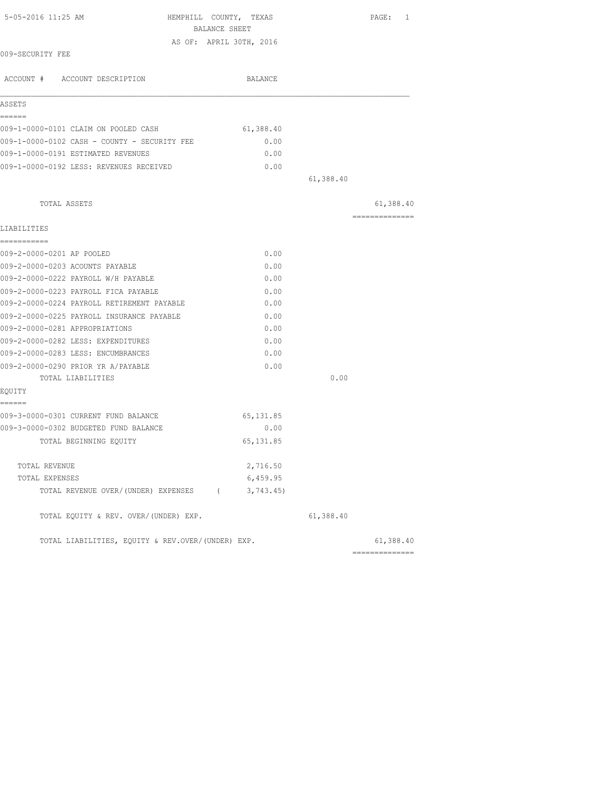| 5-05-2016 11:25 AM<br>HEMPHILL COUNTY, TEXAS<br>BALANCE SHEET |            |                | PAGE: 1        |
|---------------------------------------------------------------|------------|----------------|----------------|
| AS OF: APRIL 30TH, 2016                                       |            |                |                |
| 009-SECURITY FEE                                              |            |                |                |
| ACCOUNT # ACCOUNT DESCRIPTION                                 | BALANCE    |                |                |
| ASSETS                                                        |            |                |                |
| ======                                                        |            |                |                |
| 009-1-0000-0101 CLAIM ON POOLED CASH                          | 61,388.40  |                |                |
| 009-1-0000-0102 CASH - COUNTY - SECURITY FEE                  | 0.00       |                |                |
| 009-1-0000-0191 ESTIMATED REVENUES                            | 0.00       |                |                |
| 009-1-0000-0192 LESS: REVENUES RECEIVED                       | 0.00       |                |                |
|                                                               |            | 61,388.40      |                |
| TOTAL ASSETS                                                  |            |                | 61,388.40      |
| LIABILITIES                                                   |            |                | -------------- |
| ===========                                                   |            |                |                |
| 009-2-0000-0201 AP POOLED                                     | 0.00       |                |                |
| 009-2-0000-0203 ACOUNTS PAYABLE                               | 0.00       |                |                |
| 009-2-0000-0222 PAYROLL W/H PAYABLE                           | 0.00       |                |                |
| 009-2-0000-0223 PAYROLL FICA PAYABLE                          | 0.00       |                |                |
| 009-2-0000-0224 PAYROLL RETIREMENT PAYABLE                    | 0.00       |                |                |
| 009-2-0000-0225 PAYROLL INSURANCE PAYABLE                     | 0.00       |                |                |
| 009-2-0000-0281 APPROPRIATIONS                                | 0.00       |                |                |
| 009-2-0000-0282 LESS: EXPENDITURES                            | 0.00       |                |                |
| 009-2-0000-0283 LESS: ENCUMBRANCES                            | 0.00       |                |                |
| 009-2-0000-0290 PRIOR YR A/PAYABLE                            | 0.00       |                |                |
| TOTAL LIABILITIES                                             |            | 0.00           |                |
| EQUITY<br>======                                              |            |                |                |
| 009-3-0000-0301 CURRENT FUND BALANCE                          | 65, 131.85 |                |                |
| 009-3-0000-0302 BUDGETED FUND BALANCE                         | 0.00       |                |                |
| TOTAL BEGINNING EQUITY                                        | 65, 131.85 |                |                |
| TOTAL REVENUE                                                 | 2,716.50   |                |                |
| TOTAL EXPENSES                                                | 6,459.95   |                |                |
| TOTAL REVENUE OVER/(UNDER) EXPENSES (                         | 3,743.45)  |                |                |
| TOTAL EQUITY & REV. OVER/(UNDER) EXP.                         |            | 61,388.40      |                |
| TOTAL LIABILITIES, EOUITY & REV.OVER/(UNDER) EXP.             |            | ============== | 61,388.40      |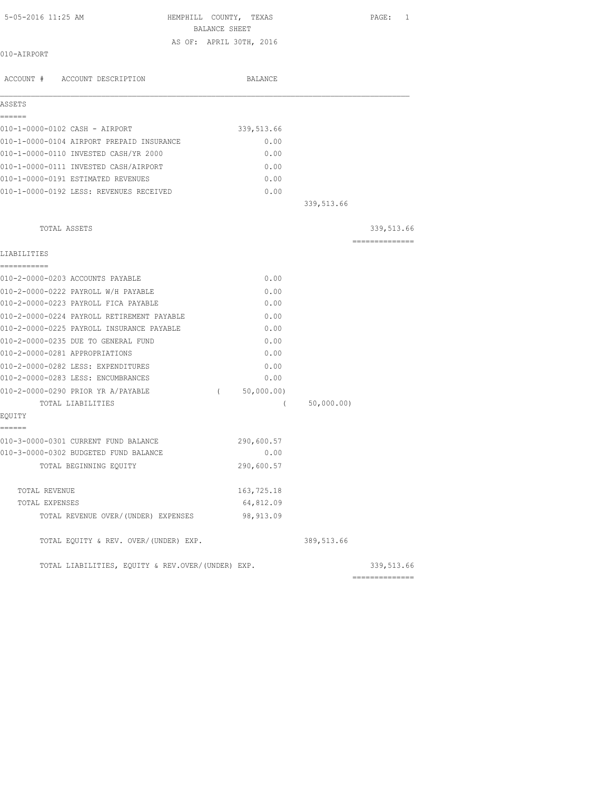| 5-05-2016 11:25 AM                                | HEMPHILL COUNTY, TEXAS<br>BALANCE SHEET |            | PAGE: 1        |
|---------------------------------------------------|-----------------------------------------|------------|----------------|
|                                                   | AS OF: APRIL 30TH, 2016                 |            |                |
| 010-AIRPORT                                       |                                         |            |                |
| ACCOUNT # ACCOUNT DESCRIPTION                     | <b>BALANCE</b>                          |            |                |
| ASSETS                                            |                                         |            |                |
| ======                                            |                                         |            |                |
| 010-1-0000-0102 CASH - AIRPORT                    | 339, 513.66                             |            |                |
| 010-1-0000-0104 AIRPORT PREPAID INSURANCE         | 0.00                                    |            |                |
| 010-1-0000-0110 INVESTED CASH/YR 2000             | 0.00                                    |            |                |
| 010-1-0000-0111 INVESTED CASH/AIRPORT             | 0.00                                    |            |                |
| 010-1-0000-0191 ESTIMATED REVENUES                | 0.00                                    |            |                |
| 010-1-0000-0192 LESS: REVENUES RECEIVED           | 0.00                                    |            |                |
|                                                   |                                         | 339,513.66 |                |
| TOTAL ASSETS                                      |                                         |            | 339,513.66     |
| LIABILITIES                                       |                                         |            | ============== |
| ===========                                       |                                         |            |                |
| 010-2-0000-0203 ACCOUNTS PAYABLE                  | 0.00                                    |            |                |
| 010-2-0000-0222 PAYROLL W/H PAYABLE               | 0.00                                    |            |                |
| 010-2-0000-0223 PAYROLL FICA PAYABLE              | 0.00                                    |            |                |
| 010-2-0000-0224 PAYROLL RETIREMENT PAYABLE        | 0.00                                    |            |                |
| 010-2-0000-0225 PAYROLL INSURANCE PAYABLE         | 0.00                                    |            |                |
| 010-2-0000-0235 DUE TO GENERAL FUND               | 0.00                                    |            |                |
| 010-2-0000-0281 APPROPRIATIONS                    | 0.00                                    |            |                |
| 010-2-0000-0282 LESS: EXPENDITURES                | 0.00                                    |            |                |
| 010-2-0000-0283 LESS: ENCUMBRANCES                | 0.00                                    |            |                |
| 010-2-0000-0290 PRIOR YR A/PAYABLE                | (50,000.00)                             |            |                |
| TOTAL LIABILITIES                                 | $\left($                                | 50,000.00) |                |
| EQUITY<br>======                                  |                                         |            |                |
| 010-3-0000-0301 CURRENT FUND BALANCE              | 290,600.57                              |            |                |
| 010-3-0000-0302 BUDGETED FUND BALANCE             | 0.00                                    |            |                |
| TOTAL BEGINNING EQUITY                            | 290,600.57                              |            |                |
| TOTAL REVENUE                                     | 163,725.18                              |            |                |
| TOTAL EXPENSES                                    | 64,812.09                               |            |                |
| TOTAL REVENUE OVER/(UNDER) EXPENSES               | 98, 913.09                              |            |                |
| TOTAL EQUITY & REV. OVER/(UNDER) EXP.             |                                         | 389,513.66 |                |
| TOTAL LIABILITIES, EQUITY & REV.OVER/(UNDER) EXP. |                                         |            | 339,513.66     |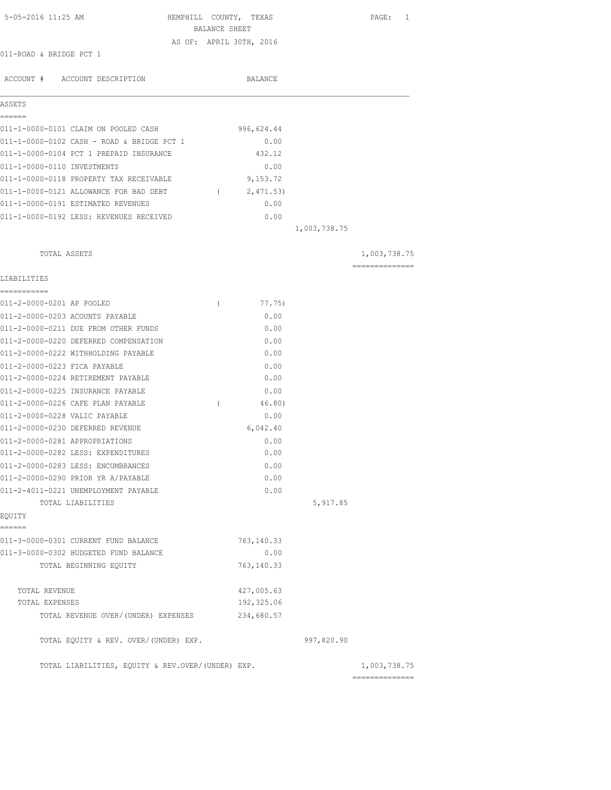| 5-05-2016 11:25 AM                                | HEMPHILL COUNTY, TEXAS<br>BALANCE SHEET |             |              | 1<br>PAGE:     |
|---------------------------------------------------|-----------------------------------------|-------------|--------------|----------------|
|                                                   | AS OF: APRIL 30TH, 2016                 |             |              |                |
| 011-ROAD & BRIDGE PCT 1                           |                                         |             |              |                |
| ACCOUNT # ACCOUNT DESCRIPTION                     |                                         | BALANCE     |              |                |
| ASSETS                                            |                                         |             |              |                |
| ======<br>011-1-0000-0101 CLAIM ON POOLED CASH    |                                         | 996,624.44  |              |                |
| 011-1-0000-0102 CASH - ROAD & BRIDGE PCT 1        |                                         | 0.00        |              |                |
| 011-1-0000-0104 PCT 1 PREPAID INSURANCE           |                                         | 432.12      |              |                |
| 011-1-0000-0110 INVESTMENTS                       |                                         | 0.00        |              |                |
| 011-1-0000-0118 PROPERTY TAX RECEIVABLE           |                                         | 9,153.72    |              |                |
| 011-1-0000-0121 ALLOWANCE FOR BAD DEBT            |                                         | (2, 471.53) |              |                |
| 011-1-0000-0191 ESTIMATED REVENUES                |                                         | 0.00        |              |                |
| 011-1-0000-0192 LESS: REVENUES RECEIVED           |                                         | 0.00        |              |                |
|                                                   |                                         |             | 1,003,738.75 |                |
|                                                   |                                         |             |              |                |
| TOTAL ASSETS                                      |                                         |             |              | 1,003,738.75   |
| LIABILITIES                                       |                                         |             |              | ============== |
| -----------                                       |                                         |             |              |                |
| 011-2-0000-0201 AP POOLED                         | $\left($                                | 77.75)      |              |                |
| 011-2-0000-0203 ACOUNTS PAYABLE                   |                                         | 0.00        |              |                |
| 011-2-0000-0211 DUE FROM OTHER FUNDS              |                                         | 0.00        |              |                |
| 011-2-0000-0220 DEFERRED COMPENSATION             |                                         | 0.00        |              |                |
| 011-2-0000-0222 WITHHOLDING PAYABLE               |                                         | 0.00        |              |                |
| 011-2-0000-0223 FICA PAYABLE                      |                                         | 0.00        |              |                |
| 011-2-0000-0224 RETIREMENT PAYABLE                |                                         | 0.00        |              |                |
| 011-2-0000-0225 INSURANCE PAYABLE                 |                                         | 0.00        |              |                |
| 011-2-0000-0226 CAFE PLAN PAYABLE                 | $\left($                                | 46.80)      |              |                |
| 011-2-0000-0228 VALIC PAYABLE                     |                                         | 0.00        |              |                |
| 011-2-0000-0230 DEFERRED REVENUE                  |                                         | 6,042.40    |              |                |
| 011-2-0000-0281 APPROPRIATIONS                    |                                         | 0.00        |              |                |
| 011-2-0000-0282 LESS: EXPENDITURES                |                                         | 0.00        |              |                |
| 011-2-0000-0283 LESS: ENCUMBRANCES                |                                         | 0.00        |              |                |
| 011-2-0000-0290 PRIOR YR A/PAYABLE                |                                         | 0.00        |              |                |
| 011-2-4011-0221 UNEMPLOYMENT PAYABLE              |                                         | 0.00        |              |                |
| TOTAL LIABILITIES<br>EQUITY                       |                                         |             | 5,917.85     |                |
| ======                                            |                                         |             |              |                |
| 011-3-0000-0301 CURRENT FUND BALANCE              |                                         | 763,140.33  |              |                |
| 011-3-0000-0302 BUDGETED FUND BALANCE             |                                         | 0.00        |              |                |
| TOTAL BEGINNING EOUITY                            |                                         | 763, 140.33 |              |                |
| TOTAL REVENUE                                     |                                         | 427,005.63  |              |                |
| TOTAL EXPENSES                                    |                                         | 192,325.06  |              |                |
| TOTAL REVENUE OVER/ (UNDER) EXPENSES              |                                         | 234,680.57  |              |                |
| TOTAL EQUITY & REV. OVER/(UNDER) EXP.             |                                         |             | 997,820.90   |                |
| TOTAL LIABILITIES, EQUITY & REV.OVER/(UNDER) EXP. |                                         |             |              | 1,003,738.75   |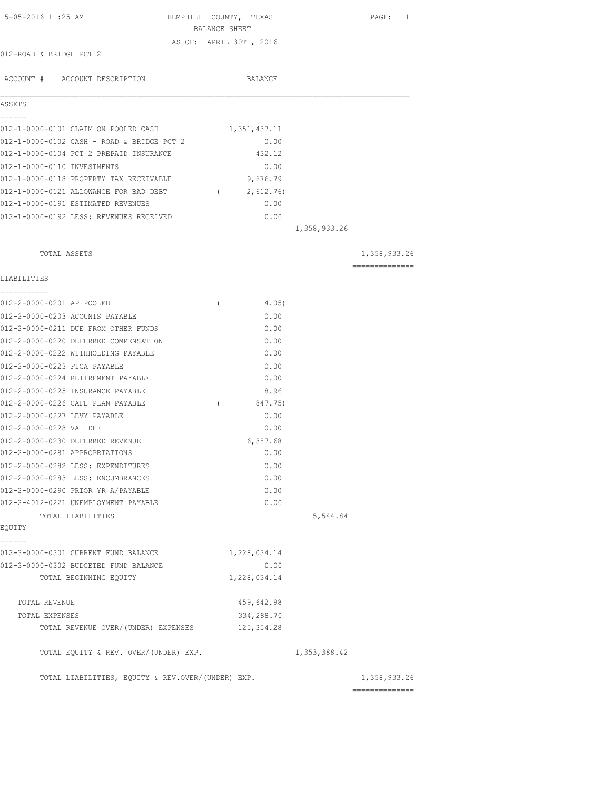| 5-05-2016 11:25 AM                                | HEMPHILL COUNTY, TEXAS<br>BALANCE SHEET | PAGE: 1        |
|---------------------------------------------------|-----------------------------------------|----------------|
|                                                   | AS OF: APRIL 30TH, 2016                 |                |
| 012-ROAD & BRIDGE PCT 2                           |                                         |                |
| ACCOUNT # ACCOUNT DESCRIPTION                     | BALANCE                                 |                |
| ASSETS                                            |                                         |                |
| ======                                            |                                         |                |
| 012-1-0000-0101 CLAIM ON POOLED CASH              | 1,351,437.11                            |                |
| 012-1-0000-0102 CASH - ROAD & BRIDGE PCT 2        | 0.00                                    |                |
| 012-1-0000-0104 PCT 2 PREPAID INSURANCE           | 432.12                                  |                |
| 012-1-0000-0110 INVESTMENTS                       | 0.00                                    |                |
| 012-1-0000-0118 PROPERTY TAX RECEIVABLE           | 9,676.79                                |                |
| 012-1-0000-0121 ALLOWANCE FOR BAD DEBT            | 2,612.76)<br>$\sqrt{2}$                 |                |
| 012-1-0000-0191 ESTIMATED REVENUES                | 0.00                                    |                |
| 012-1-0000-0192 LESS: REVENUES RECEIVED           | 0.00                                    |                |
|                                                   |                                         | 1,358,933.26   |
| TOTAL ASSETS                                      |                                         | 1,358,933.26   |
|                                                   |                                         | ============== |
| LIABILITIES<br>----------                         |                                         |                |
| 012-2-0000-0201 AP POOLED                         | 4.05)<br>$\left($                       |                |
| 012-2-0000-0203 ACOUNTS PAYABLE                   | 0.00                                    |                |
| 012-2-0000-0211 DUE FROM OTHER FUNDS              | 0.00                                    |                |
| 012-2-0000-0220 DEFERRED COMPENSATION             | 0.00                                    |                |
| 012-2-0000-0222 WITHHOLDING PAYABLE               | 0.00                                    |                |
| 012-2-0000-0223 FICA PAYABLE                      | 0.00                                    |                |
| 012-2-0000-0224 RETIREMENT PAYABLE                | 0.00                                    |                |
| 012-2-0000-0225 INSURANCE PAYABLE                 | 8.96                                    |                |
| 012-2-0000-0226 CAFE PLAN PAYABLE                 | 847.75)<br>$\left($                     |                |
| 012-2-0000-0227 LEVY PAYABLE                      | 0.00                                    |                |
| 012-2-0000-0228 VAL DEF                           | 0.00                                    |                |
| 012-2-0000-0230 DEFERRED REVENUE                  | 6,387.68                                |                |
| 012-2-0000-0281 APPROPRIATIONS                    | 0.00                                    |                |
| 012-2-0000-0282 LESS: EXPENDITURES                | 0.00                                    |                |
| 012-2-0000-0283 LESS: ENCUMBRANCES                | 0.00                                    |                |
| 012-2-0000-0290 PRIOR YR A/PAYABLE                | 0.00                                    |                |
| 012-2-4012-0221 UNEMPLOYMENT PAYABLE              | 0.00                                    |                |
| TOTAL LIABILITIES                                 |                                         | 5,544.84       |
| EQUITY<br>======                                  |                                         |                |
| 012-3-0000-0301 CURRENT FUND BALANCE              | 1,228,034.14                            |                |
| 012-3-0000-0302 BUDGETED FUND BALANCE             | 0.00                                    |                |
| TOTAL BEGINNING EQUITY                            | 1,228,034.14                            |                |
|                                                   |                                         |                |
| TOTAL REVENUE                                     | 459,642.98                              |                |
| TOTAL EXPENSES                                    | 334,288.70                              |                |
| TOTAL REVENUE OVER/ (UNDER) EXPENSES              | 125, 354.28                             |                |
| TOTAL EQUITY & REV. OVER/(UNDER) EXP.             |                                         | 1,353,388.42   |
| TOTAL LIABILITIES, EQUITY & REV.OVER/(UNDER) EXP. |                                         | 1,358,933.26   |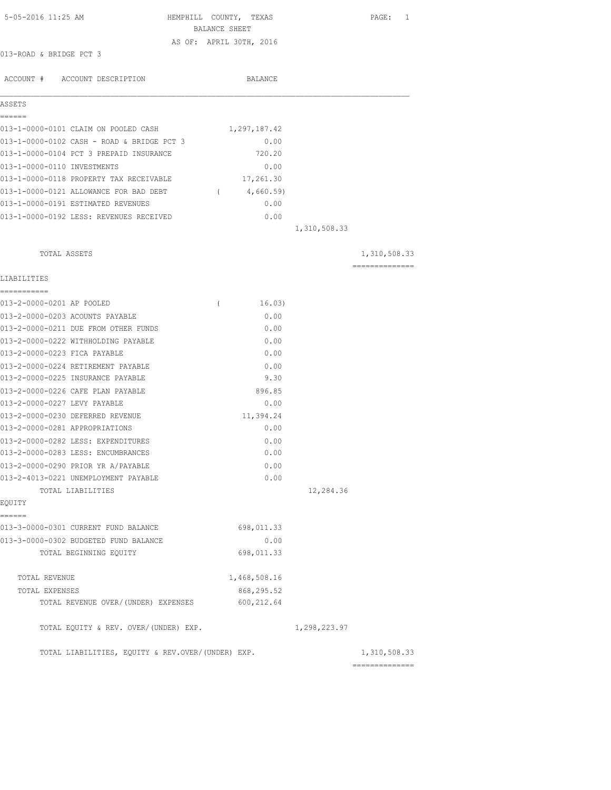| 5-05-2016 11:25 AM                                | HEMPHILL COUNTY, TEXAS<br>BALANCE SHEET |              | PAGE: 1        |
|---------------------------------------------------|-----------------------------------------|--------------|----------------|
|                                                   | AS OF: APRIL 30TH, 2016                 |              |                |
| 013-ROAD & BRIDGE PCT 3                           |                                         |              |                |
|                                                   |                                         |              |                |
| ACCOUNT # ACCOUNT DESCRIPTION                     | BALANCE                                 |              |                |
| ASSETS                                            |                                         |              |                |
| ------<br>013-1-0000-0101 CLAIM ON POOLED CASH    | 1,297,187.42                            |              |                |
| 013-1-0000-0102 CASH - ROAD & BRIDGE PCT 3        | 0.00                                    |              |                |
| 013-1-0000-0104 PCT 3 PREPAID INSURANCE           | 720.20                                  |              |                |
| 013-1-0000-0110 INVESTMENTS                       | 0.00                                    |              |                |
| 013-1-0000-0118 PROPERTY TAX RECEIVABLE           | 17,261.30                               |              |                |
| 013-1-0000-0121 ALLOWANCE FOR BAD DEBT            | 4,660.59)<br>$\sqrt{2}$                 |              |                |
| 013-1-0000-0191 ESTIMATED REVENUES                | 0.00                                    |              |                |
| 013-1-0000-0192 LESS: REVENUES RECEIVED           | 0.00                                    |              |                |
|                                                   |                                         | 1,310,508.33 |                |
| TOTAL ASSETS                                      |                                         |              | 1,310,508.33   |
|                                                   |                                         |              | ============== |
| LIABILITIES<br>___________                        |                                         |              |                |
| 013-2-0000-0201 AP POOLED                         | 16.03)<br>$\left($                      |              |                |
| 013-2-0000-0203 ACOUNTS PAYABLE                   | 0.00                                    |              |                |
| 013-2-0000-0211 DUE FROM OTHER FUNDS              | 0.00                                    |              |                |
| 013-2-0000-0222 WITHHOLDING PAYABLE               | 0.00                                    |              |                |
| 013-2-0000-0223 FICA PAYABLE                      | 0.00                                    |              |                |
| 013-2-0000-0224 RETIREMENT PAYABLE                | 0.00                                    |              |                |
| 013-2-0000-0225 INSURANCE PAYABLE                 | 9.30                                    |              |                |
| 013-2-0000-0226 CAFE PLAN PAYABLE                 | 896.85                                  |              |                |
| 013-2-0000-0227 LEVY PAYABLE                      | 0.00                                    |              |                |
| 013-2-0000-0230 DEFERRED REVENUE                  | 11,394.24                               |              |                |
| 013-2-0000-0281 APPROPRIATIONS                    | 0.00                                    |              |                |
| 013-2-0000-0282 LESS: EXPENDITURES                | 0.00                                    |              |                |
| 013-2-0000-0283 LESS: ENCUMBRANCES                | 0.00                                    |              |                |
| 013-2-0000-0290 PRIOR YR A/PAYABLE                | 0.00                                    |              |                |
| 013-2-4013-0221 UNEMPLOYMENT PAYABLE              | 0.00                                    |              |                |
| TOTAL LIABILITIES                                 |                                         | 12,284.36    |                |
| EQUITY                                            |                                         |              |                |
| ------<br>013-3-0000-0301 CURRENT FUND BALANCE    | 698,011.33                              |              |                |
| 013-3-0000-0302 BUDGETED FUND BALANCE             | 0.00                                    |              |                |
| TOTAL BEGINNING EQUITY                            | 698,011.33                              |              |                |
| TOTAL REVENUE                                     | 1,468,508.16                            |              |                |
| TOTAL EXPENSES                                    | 868,295.52                              |              |                |
| TOTAL REVENUE OVER/ (UNDER) EXPENSES              | 600, 212.64                             |              |                |
| TOTAL EQUITY & REV. OVER/(UNDER) EXP.             |                                         | 1,298,223.97 |                |
| TOTAL LIABILITIES, EQUITY & REV.OVER/(UNDER) EXP. |                                         |              | 1,310,508.33   |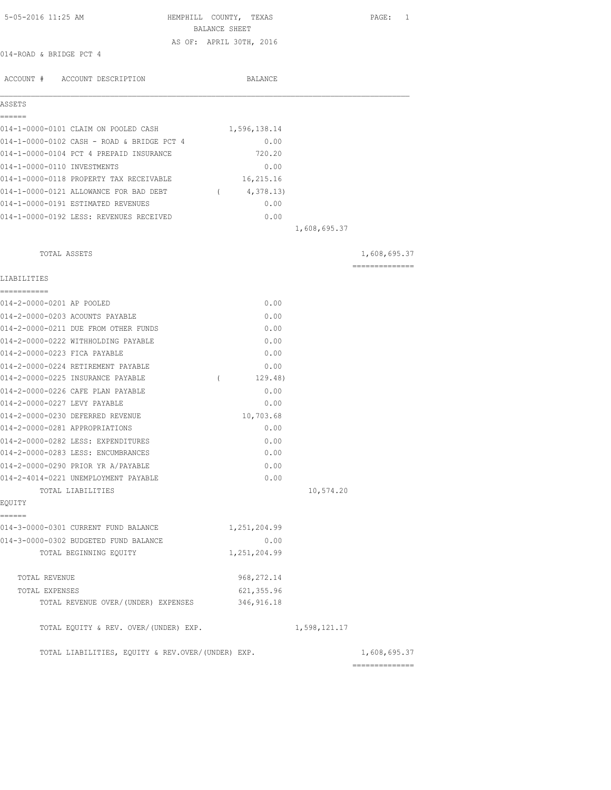| 5-05-2016 11:25 AM                                | HEMPHILL COUNTY, TEXAS<br>BALANCE SHEET |              | PAGE: 1                        |
|---------------------------------------------------|-----------------------------------------|--------------|--------------------------------|
|                                                   |                                         |              |                                |
| 014-ROAD & BRIDGE PCT 4                           | AS OF: APRIL 30TH, 2016                 |              |                                |
|                                                   |                                         |              |                                |
| ACCOUNT # ACCOUNT DESCRIPTION                     | BALANCE                                 |              |                                |
|                                                   |                                         |              |                                |
| ASSETS                                            |                                         |              |                                |
| ------                                            |                                         |              |                                |
| 014-1-0000-0101 CLAIM ON POOLED CASH              | 1,596,138.14                            |              |                                |
| 014-1-0000-0102 CASH - ROAD & BRIDGE PCT 4        | 0.00                                    |              |                                |
| 014-1-0000-0104 PCT 4 PREPAID INSURANCE           | 720.20                                  |              |                                |
| 014-1-0000-0110 INVESTMENTS                       | 0.00                                    |              |                                |
| 014-1-0000-0118 PROPERTY TAX RECEIVABLE           | 16,215.16                               |              |                                |
| 014-1-0000-0121 ALLOWANCE FOR BAD DEBT            | 4,378.13)<br>$\sqrt{2}$                 |              |                                |
| 014-1-0000-0191 ESTIMATED REVENUES                | 0.00                                    |              |                                |
| 014-1-0000-0192 LESS: REVENUES RECEIVED           | 0.00                                    |              |                                |
|                                                   |                                         | 1,608,695.37 |                                |
|                                                   |                                         |              |                                |
| TOTAL ASSETS                                      |                                         |              | 1,608,695.37<br>============== |
| LIABILITIES                                       |                                         |              |                                |
| ----------                                        |                                         |              |                                |
| 014-2-0000-0201 AP POOLED                         | 0.00                                    |              |                                |
| 014-2-0000-0203 ACOUNTS PAYABLE                   | 0.00                                    |              |                                |
| 014-2-0000-0211 DUE FROM OTHER FUNDS              | 0.00                                    |              |                                |
| 014-2-0000-0222 WITHHOLDING PAYABLE               | 0.00                                    |              |                                |
| 014-2-0000-0223 FICA PAYABLE                      | 0.00                                    |              |                                |
| 014-2-0000-0224 RETIREMENT PAYABLE                | 0.00                                    |              |                                |
| 014-2-0000-0225 INSURANCE PAYABLE                 | $\sqrt{2}$<br>129.48)                   |              |                                |
| 014-2-0000-0226 CAFE PLAN PAYABLE                 | 0.00                                    |              |                                |
| 014-2-0000-0227 LEVY PAYABLE                      | 0.00                                    |              |                                |
| 014-2-0000-0230 DEFERRED REVENUE                  | 10,703.68                               |              |                                |
| 014-2-0000-0281 APPROPRIATIONS                    | 0.00                                    |              |                                |
| 014-2-0000-0282 LESS: EXPENDITURES                | 0.00                                    |              |                                |
| 014-2-0000-0283 LESS: ENCUMBRANCES                | 0.00                                    |              |                                |
| 014-2-0000-0290 PRIOR YR A/PAYABLE                | 0.00                                    |              |                                |
| 014-2-4014-0221 UNEMPLOYMENT PAYABLE              | 0.00                                    |              |                                |
| TOTAL LIABILITIES                                 |                                         | 10,574.20    |                                |
| EQUITY                                            |                                         |              |                                |
| ======                                            |                                         |              |                                |
| 014-3-0000-0301 CURRENT FUND BALANCE              | 1,251,204.99                            |              |                                |
| 014-3-0000-0302 BUDGETED FUND BALANCE             | 0.00                                    |              |                                |
| TOTAL BEGINNING EQUITY                            | 1,251,204.99                            |              |                                |
| TOTAL REVENUE                                     | 968, 272.14                             |              |                                |
| TOTAL EXPENSES                                    | 621, 355.96                             |              |                                |
| TOTAL REVENUE OVER/(UNDER) EXPENSES               | 346, 916.18                             |              |                                |
|                                                   |                                         |              |                                |
| TOTAL EQUITY & REV. OVER/(UNDER) EXP.             |                                         | 1,598,121.17 |                                |
|                                                   |                                         |              |                                |
| TOTAL LIABILITIES, EQUITY & REV.OVER/(UNDER) EXP. |                                         |              | 1,608,695.37                   |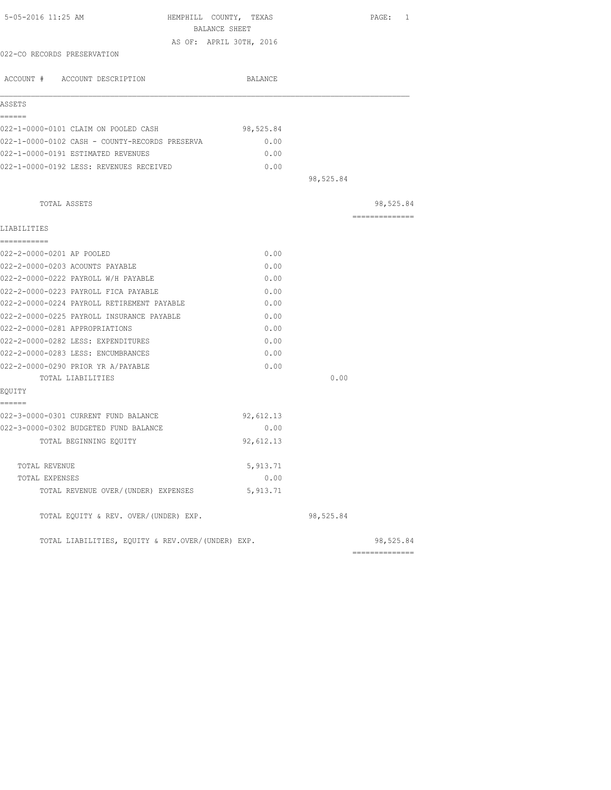| 5-05-2016 11:25 AM                                | HEMPHILL COUNTY, TEXAS  |           | PAGE: 1         |
|---------------------------------------------------|-------------------------|-----------|-----------------|
|                                                   | BALANCE SHEET           |           |                 |
|                                                   | AS OF: APRIL 30TH, 2016 |           |                 |
| 022-CO RECORDS PRESERVATION                       |                         |           |                 |
| ACCOUNT # ACCOUNT DESCRIPTION                     | BALANCE                 |           |                 |
| ASSETS                                            |                         |           |                 |
| ======<br>022-1-0000-0101 CLAIM ON POOLED CASH    | 98,525.84               |           |                 |
| 022-1-0000-0102 CASH - COUNTY-RECORDS PRESERVA    | 0.00                    |           |                 |
| 022-1-0000-0191 ESTIMATED REVENUES                | 0.00                    |           |                 |
| 022-1-0000-0192 LESS: REVENUES RECEIVED           | 0.00                    |           |                 |
|                                                   |                         | 98,525.84 |                 |
| TOTAL ASSETS                                      |                         |           | 98,525.84       |
|                                                   |                         |           | --------------  |
| LIABILITIES                                       |                         |           |                 |
| ===========<br>022-2-0000-0201 AP POOLED          | 0.00                    |           |                 |
| 022-2-0000-0203 ACOUNTS PAYABLE                   | 0.00                    |           |                 |
| 022-2-0000-0222 PAYROLL W/H PAYABLE               | 0.00                    |           |                 |
| 022-2-0000-0223 PAYROLL FICA PAYABLE              | 0.00                    |           |                 |
| 022-2-0000-0224 PAYROLL RETIREMENT PAYABLE        | 0.00                    |           |                 |
| 022-2-0000-0225 PAYROLL INSURANCE PAYABLE         | 0.00                    |           |                 |
| 022-2-0000-0281 APPROPRIATIONS                    | 0.00                    |           |                 |
| 022-2-0000-0282 LESS: EXPENDITURES                | 0.00                    |           |                 |
| 022-2-0000-0283 LESS: ENCUMBRANCES                | 0.00                    |           |                 |
| 022-2-0000-0290 PRIOR YR A/PAYABLE                | 0.00                    |           |                 |
| TOTAL LIABILITIES                                 |                         | 0.00      |                 |
| EOUITY                                            |                         |           |                 |
| ======                                            |                         |           |                 |
| 022-3-0000-0301 CURRENT FUND BALANCE              | 92,612.13               |           |                 |
| 022-3-0000-0302 BUDGETED FUND BALANCE             | 0.00                    |           |                 |
| TOTAL BEGINNING EQUITY                            | 92,612.13               |           |                 |
| TOTAL REVENUE                                     | 5, 913.71               |           |                 |
| TOTAL EXPENSES                                    | 0.00                    |           |                 |
| TOTAL REVENUE OVER/(UNDER) EXPENSES               | 5, 913.71               |           |                 |
| TOTAL EQUITY & REV. OVER/(UNDER) EXP.             |                         | 98,525.84 |                 |
| TOTAL LIABILITIES, EQUITY & REV.OVER/(UNDER) EXP. |                         |           | 98,525.84       |
|                                                   |                         |           | --------------- |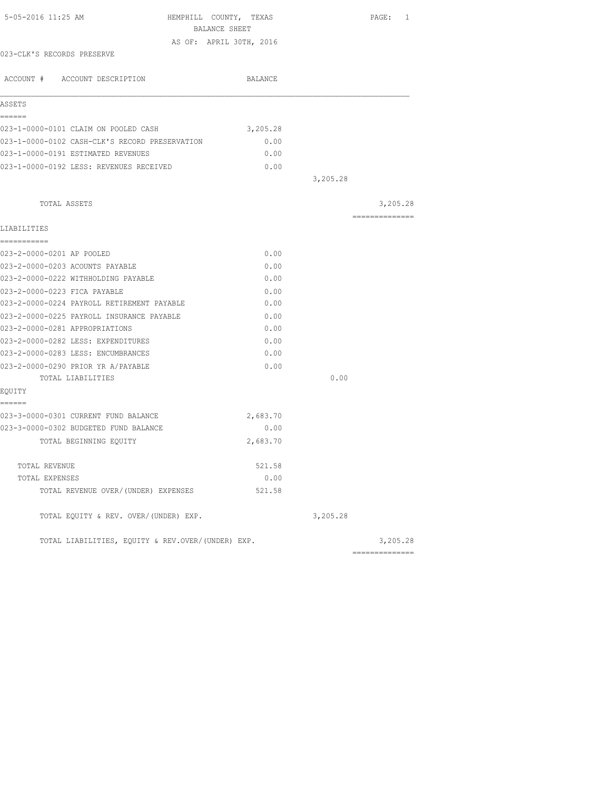| 5-05-2016 11:25 AM                                | HEMPHILL COUNTY, TEXAS  |          | PAGE: 1         |
|---------------------------------------------------|-------------------------|----------|-----------------|
|                                                   | BALANCE SHEET           |          |                 |
|                                                   | AS OF: APRIL 30TH, 2016 |          |                 |
| 023-CLK'S RECORDS PRESERVE                        |                         |          |                 |
| ACCOUNT # ACCOUNT DESCRIPTION                     | BALANCE                 |          |                 |
| ASSETS                                            |                         |          |                 |
| ======                                            |                         |          |                 |
| 023-1-0000-0101 CLAIM ON POOLED CASH              | 3,205.28                |          |                 |
| 023-1-0000-0102 CASH-CLK'S RECORD PRESERVATION    | 0.00                    |          |                 |
| 023-1-0000-0191 ESTIMATED REVENUES                | 0.00                    |          |                 |
| 023-1-0000-0192 LESS: REVENUES RECEIVED           | 0.00                    |          |                 |
|                                                   |                         | 3,205.28 |                 |
| TOTAL ASSETS                                      |                         |          | 3,205.28        |
|                                                   |                         |          | ==============  |
| LIABILITIES<br>===========                        |                         |          |                 |
| 023-2-0000-0201 AP POOLED                         | 0.00                    |          |                 |
| 023-2-0000-0203 ACOUNTS PAYABLE                   | 0.00                    |          |                 |
| 023-2-0000-0222 WITHHOLDING PAYABLE               | 0.00                    |          |                 |
| 023-2-0000-0223 FICA PAYABLE                      | 0.00                    |          |                 |
| 023-2-0000-0224 PAYROLL RETIREMENT PAYABLE        | 0.00                    |          |                 |
| 023-2-0000-0225 PAYROLL INSURANCE PAYABLE         | 0.00                    |          |                 |
| 023-2-0000-0281 APPROPRIATIONS                    | 0.00                    |          |                 |
| 023-2-0000-0282 LESS: EXPENDITURES                | 0.00                    |          |                 |
| 023-2-0000-0283 LESS: ENCUMBRANCES                | 0.00                    |          |                 |
| 023-2-0000-0290 PRIOR YR A/PAYABLE                | 0.00                    |          |                 |
| TOTAL LIABILITIES                                 |                         | 0.00     |                 |
| EQUITY                                            |                         |          |                 |
| ======<br>023-3-0000-0301 CURRENT FUND BALANCE    | 2,683.70                |          |                 |
| 023-3-0000-0302 BUDGETED FUND BALANCE             | 0.00                    |          |                 |
| TOTAL BEGINNING EQUITY                            | 2,683.70                |          |                 |
| TOTAL REVENUE                                     | 521.58                  |          |                 |
| TOTAL EXPENSES                                    | 0.00                    |          |                 |
| TOTAL REVENUE OVER/(UNDER) EXPENSES               | 521.58                  |          |                 |
| TOTAL EQUITY & REV. OVER/(UNDER) EXP.             |                         | 3,205.28 |                 |
| TOTAL LIABILITIES, EQUITY & REV.OVER/(UNDER) EXP. |                         |          | 3,205.28        |
|                                                   |                         |          | --------------- |
|                                                   |                         |          |                 |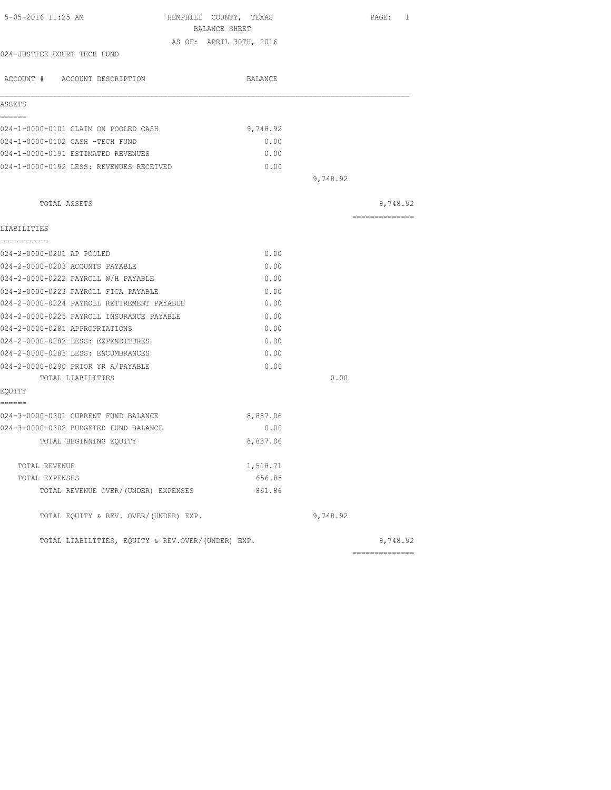| 5-05-2016 11:25 AM                                                            | HEMPHILL COUNTY, TEXAS  |          | PAGE: 1                    |
|-------------------------------------------------------------------------------|-------------------------|----------|----------------------------|
|                                                                               | BALANCE SHEET           |          |                            |
|                                                                               | AS OF: APRIL 30TH, 2016 |          |                            |
| 024-JUSTICE COURT TECH FUND                                                   |                         |          |                            |
| ACCOUNT # ACCOUNT DESCRIPTION                                                 | BALANCE                 |          |                            |
| ASSETS                                                                        |                         |          |                            |
| ------                                                                        |                         |          |                            |
| 024-1-0000-0101 CLAIM ON POOLED CASH                                          | 9,748.92                |          |                            |
| 024-1-0000-0102 CASH -TECH FUND                                               | 0.00                    |          |                            |
| 024-1-0000-0191 ESTIMATED REVENUES                                            | 0.00                    |          |                            |
| 024-1-0000-0192 LESS: REVENUES RECEIVED                                       | 0.00                    |          |                            |
|                                                                               |                         | 9,748.92 |                            |
|                                                                               |                         |          |                            |
| TOTAL ASSETS                                                                  |                         |          | 9,748.92<br>============== |
| LIABILITIES                                                                   |                         |          |                            |
| ===========                                                                   |                         |          |                            |
| 024-2-0000-0201 AP POOLED                                                     | 0.00                    |          |                            |
| 024-2-0000-0203 ACOUNTS PAYABLE                                               | 0.00                    |          |                            |
| 024-2-0000-0222 PAYROLL W/H PAYABLE                                           | 0.00                    |          |                            |
| 024-2-0000-0223 PAYROLL FICA PAYABLE                                          | 0.00                    |          |                            |
| 024-2-0000-0224 PAYROLL RETIREMENT PAYABLE                                    | 0.00                    |          |                            |
| 024-2-0000-0225 PAYROLL INSURANCE PAYABLE                                     | 0.00                    |          |                            |
| 024-2-0000-0281 APPROPRIATIONS                                                | 0.00                    |          |                            |
| 024-2-0000-0282 LESS: EXPENDITURES                                            | 0.00                    |          |                            |
| 024-2-0000-0283 LESS: ENCUMBRANCES                                            | 0.00                    |          |                            |
| 024-2-0000-0290 PRIOR YR A/PAYABLE                                            | 0.00                    |          |                            |
| TOTAL LIABILITIES                                                             |                         | 0.00     |                            |
| EQUITY                                                                        |                         |          |                            |
| ======                                                                        |                         |          |                            |
| 024-3-0000-0301 CURRENT FUND BALANCE<br>024-3-0000-0302 BUDGETED FUND BALANCE | 8,887.06<br>0.00        |          |                            |
|                                                                               |                         |          |                            |
| TOTAL BEGINNING EQUITY                                                        | 8,887.06                |          |                            |
| TOTAL REVENUE                                                                 | 1,518.71                |          |                            |
| TOTAL EXPENSES                                                                | 656.85                  |          |                            |
| TOTAL REVENUE OVER/(UNDER) EXPENSES                                           | 861.86                  |          |                            |
| TOTAL EQUITY & REV. OVER/(UNDER) EXP.                                         |                         | 9,748.92 |                            |
| TOTAL LIABILITIES, EQUITY & REV.OVER/(UNDER) EXP.                             |                         |          | 9,748.92                   |
|                                                                               |                         |          | ---------------            |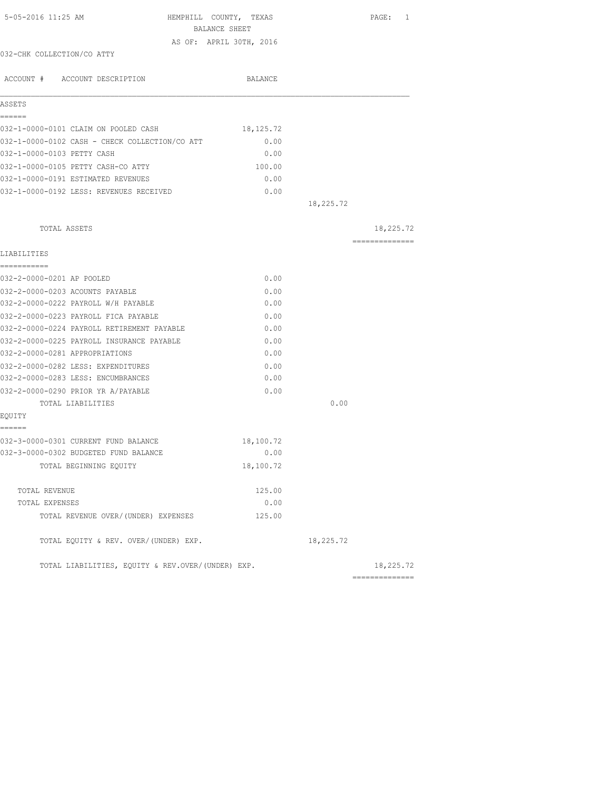| 5-05-2016 11:25 AM                                | HEMPHILL COUNTY, TEXAS<br>BALANCE SHEET |           | PAGE: 1        |
|---------------------------------------------------|-----------------------------------------|-----------|----------------|
|                                                   | AS OF: APRIL 30TH, 2016                 |           |                |
| 032-CHK COLLECTION/CO ATTY                        |                                         |           |                |
| ACCOUNT # ACCOUNT DESCRIPTION                     | BALANCE                                 |           |                |
| ASSETS                                            |                                         |           |                |
| ======<br>032-1-0000-0101 CLAIM ON POOLED CASH    | 18,125.72                               |           |                |
| 032-1-0000-0102 CASH - CHECK COLLECTION/CO ATT    | 0.00                                    |           |                |
| 032-1-0000-0103 PETTY CASH                        | 0.00                                    |           |                |
| 032-1-0000-0105 PETTY CASH-CO ATTY                | 100.00                                  |           |                |
| 032-1-0000-0191 ESTIMATED REVENUES                | 0.00                                    |           |                |
| 032-1-0000-0192 LESS: REVENUES RECEIVED           | 0.00                                    |           |                |
|                                                   |                                         | 18,225.72 |                |
| TOTAL ASSETS                                      |                                         |           | 18,225.72      |
| LIABILITIES                                       |                                         |           | ============== |
| ===========                                       |                                         |           |                |
| 032-2-0000-0201 AP POOLED                         | 0.00                                    |           |                |
| 032-2-0000-0203 ACOUNTS PAYABLE                   | 0.00                                    |           |                |
| 032-2-0000-0222 PAYROLL W/H PAYABLE               | 0.00                                    |           |                |
| 032-2-0000-0223 PAYROLL FICA PAYABLE              | 0.00                                    |           |                |
| 032-2-0000-0224 PAYROLL RETIREMENT PAYABLE        | 0.00                                    |           |                |
| 032-2-0000-0225 PAYROLL INSURANCE PAYABLE         | 0.00                                    |           |                |
| 032-2-0000-0281 APPROPRIATIONS                    | 0.00                                    |           |                |
| 032-2-0000-0282 LESS: EXPENDITURES                | 0.00                                    |           |                |
| 032-2-0000-0283 LESS: ENCUMBRANCES                | 0.00                                    |           |                |
| 032-2-0000-0290 PRIOR YR A/PAYABLE                | 0.00                                    |           |                |
| TOTAL LIABILITIES                                 |                                         | 0.00      |                |
| EQUITY<br>======                                  |                                         |           |                |
| 032-3-0000-0301 CURRENT FUND BALANCE              | 18,100.72                               |           |                |
| 032-3-0000-0302 BUDGETED FUND BALANCE             | 0.00                                    |           |                |
| TOTAL BEGINNING EQUITY                            | 18,100.72                               |           |                |
| TOTAL REVENUE                                     | 125.00                                  |           |                |
| TOTAL EXPENSES                                    | 0.00                                    |           |                |
| TOTAL REVENUE OVER/(UNDER) EXPENSES               | 125.00                                  |           |                |
| TOTAL EQUITY & REV. OVER/(UNDER) EXP.             |                                         | 18,225.72 |                |
| TOTAL LIABILITIES, EQUITY & REV.OVER/(UNDER) EXP. |                                         |           | 18,225.72      |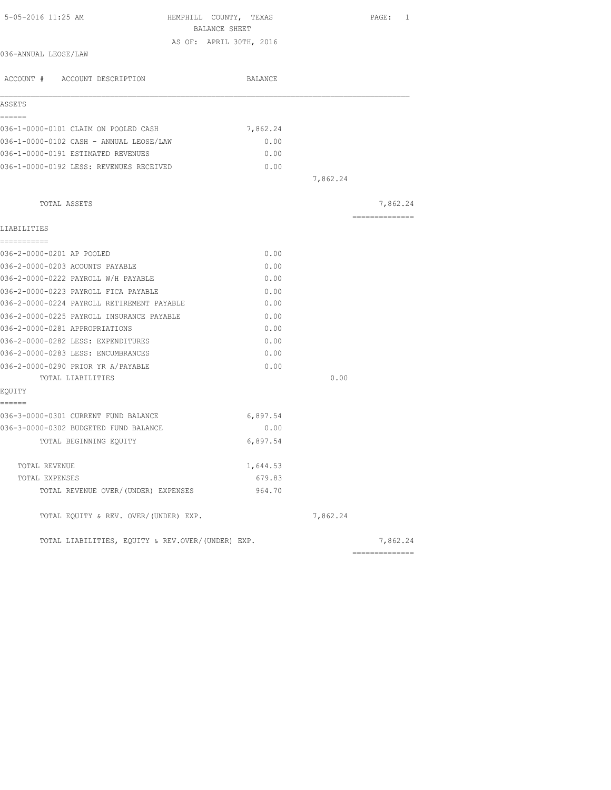| 5-05-2016 11:25 AM<br>HEMPHILL COUNTY, TEXAS      |          |          | PAGE: 1                                                                                                                                                                                                                                                                                                                                                                                                                                                                                |
|---------------------------------------------------|----------|----------|----------------------------------------------------------------------------------------------------------------------------------------------------------------------------------------------------------------------------------------------------------------------------------------------------------------------------------------------------------------------------------------------------------------------------------------------------------------------------------------|
| BALANCE SHEET                                     |          |          |                                                                                                                                                                                                                                                                                                                                                                                                                                                                                        |
| AS OF: APRIL 30TH, 2016                           |          |          |                                                                                                                                                                                                                                                                                                                                                                                                                                                                                        |
| 036-ANNUAL LEOSE/LAW                              |          |          |                                                                                                                                                                                                                                                                                                                                                                                                                                                                                        |
| ACCOUNT # ACCOUNT DESCRIPTION                     | BALANCE  |          |                                                                                                                                                                                                                                                                                                                                                                                                                                                                                        |
| ASSETS                                            |          |          |                                                                                                                                                                                                                                                                                                                                                                                                                                                                                        |
| ------                                            |          |          |                                                                                                                                                                                                                                                                                                                                                                                                                                                                                        |
| 036-1-0000-0101 CLAIM ON POOLED CASH              | 7,862.24 |          |                                                                                                                                                                                                                                                                                                                                                                                                                                                                                        |
| 036-1-0000-0102 CASH - ANNUAL LEOSE/LAW           | 0.00     |          |                                                                                                                                                                                                                                                                                                                                                                                                                                                                                        |
| 036-1-0000-0191 ESTIMATED REVENUES                | 0.00     |          |                                                                                                                                                                                                                                                                                                                                                                                                                                                                                        |
| 036-1-0000-0192 LESS: REVENUES RECEIVED           | 0.00     |          |                                                                                                                                                                                                                                                                                                                                                                                                                                                                                        |
|                                                   |          | 7,862.24 |                                                                                                                                                                                                                                                                                                                                                                                                                                                                                        |
| TOTAL ASSETS                                      |          |          | 7,862.24                                                                                                                                                                                                                                                                                                                                                                                                                                                                               |
| LIABILITIES                                       |          |          | $\begin{array}{cccccccccccccc} \multicolumn{2}{c}{} & \multicolumn{2}{c}{} & \multicolumn{2}{c}{} & \multicolumn{2}{c}{} & \multicolumn{2}{c}{} & \multicolumn{2}{c}{} & \multicolumn{2}{c}{} & \multicolumn{2}{c}{} & \multicolumn{2}{c}{} & \multicolumn{2}{c}{} & \multicolumn{2}{c}{} & \multicolumn{2}{c}{} & \multicolumn{2}{c}{} & \multicolumn{2}{c}{} & \multicolumn{2}{c}{} & \multicolumn{2}{c}{} & \multicolumn{2}{c}{} & \multicolumn{2}{c}{} & \multicolumn{2}{c}{} & \$ |
| -----------                                       |          |          |                                                                                                                                                                                                                                                                                                                                                                                                                                                                                        |
| 036-2-0000-0201 AP POOLED                         | 0.00     |          |                                                                                                                                                                                                                                                                                                                                                                                                                                                                                        |
| 036-2-0000-0203 ACOUNTS PAYABLE                   | 0.00     |          |                                                                                                                                                                                                                                                                                                                                                                                                                                                                                        |
| 036-2-0000-0222 PAYROLL W/H PAYABLE               | 0.00     |          |                                                                                                                                                                                                                                                                                                                                                                                                                                                                                        |
| 036-2-0000-0223 PAYROLL FICA PAYABLE              | 0.00     |          |                                                                                                                                                                                                                                                                                                                                                                                                                                                                                        |
| 036-2-0000-0224 PAYROLL RETIREMENT PAYABLE        | 0.00     |          |                                                                                                                                                                                                                                                                                                                                                                                                                                                                                        |
| 036-2-0000-0225 PAYROLL INSURANCE PAYABLE         | 0.00     |          |                                                                                                                                                                                                                                                                                                                                                                                                                                                                                        |
| 036-2-0000-0281 APPROPRIATIONS                    | 0.00     |          |                                                                                                                                                                                                                                                                                                                                                                                                                                                                                        |
| 036-2-0000-0282 LESS: EXPENDITURES                | 0.00     |          |                                                                                                                                                                                                                                                                                                                                                                                                                                                                                        |
| 036-2-0000-0283 LESS: ENCUMBRANCES                | 0.00     |          |                                                                                                                                                                                                                                                                                                                                                                                                                                                                                        |
| 036-2-0000-0290 PRIOR YR A/PAYABLE                | 0.00     |          |                                                                                                                                                                                                                                                                                                                                                                                                                                                                                        |
| TOTAL LIABILITIES                                 |          | 0.00     |                                                                                                                                                                                                                                                                                                                                                                                                                                                                                        |
| EQUITY                                            |          |          |                                                                                                                                                                                                                                                                                                                                                                                                                                                                                        |
| ======                                            |          |          |                                                                                                                                                                                                                                                                                                                                                                                                                                                                                        |
| 036-3-0000-0301 CURRENT FUND BALANCE              | 6,897.54 |          |                                                                                                                                                                                                                                                                                                                                                                                                                                                                                        |
| 036-3-0000-0302 BUDGETED FUND BALANCE             | 0.00     |          |                                                                                                                                                                                                                                                                                                                                                                                                                                                                                        |
| TOTAL BEGINNING EQUITY                            | 6,897.54 |          |                                                                                                                                                                                                                                                                                                                                                                                                                                                                                        |
| TOTAL REVENUE                                     | 1,644.53 |          |                                                                                                                                                                                                                                                                                                                                                                                                                                                                                        |
| TOTAL EXPENSES                                    | 679.83   |          |                                                                                                                                                                                                                                                                                                                                                                                                                                                                                        |
| TOTAL REVENUE OVER/(UNDER) EXPENSES               | 964.70   |          |                                                                                                                                                                                                                                                                                                                                                                                                                                                                                        |
| TOTAL EQUITY & REV. OVER/(UNDER) EXP.             |          | 7,862.24 |                                                                                                                                                                                                                                                                                                                                                                                                                                                                                        |
| TOTAL LIABILITIES, EQUITY & REV.OVER/(UNDER) EXP. |          |          | 7,862.24                                                                                                                                                                                                                                                                                                                                                                                                                                                                               |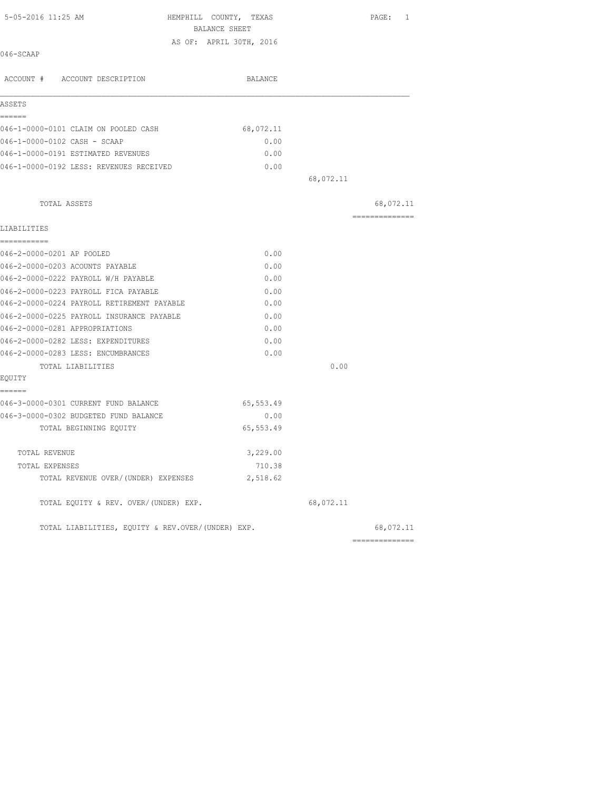| 5-05-2016 11:25 AM                                | HEMPHILL COUNTY, TEXAS  |           | PAGE: 1         |
|---------------------------------------------------|-------------------------|-----------|-----------------|
|                                                   | BALANCE SHEET           |           |                 |
| 046-SCAAP                                         | AS OF: APRIL 30TH, 2016 |           |                 |
|                                                   |                         |           |                 |
| ACCOUNT # ACCOUNT DESCRIPTION                     | BALANCE                 |           |                 |
| ASSETS                                            |                         |           |                 |
| ======                                            |                         |           |                 |
| 046-1-0000-0101 CLAIM ON POOLED CASH              | 68,072.11               |           |                 |
| 046-1-0000-0102 CASH - SCAAP                      | 0.00                    |           |                 |
| 046-1-0000-0191 ESTIMATED REVENUES                | 0.00                    |           |                 |
| 046-1-0000-0192 LESS: REVENUES RECEIVED           | 0.00                    |           |                 |
|                                                   |                         | 68,072.11 |                 |
| TOTAL ASSETS                                      |                         |           | 68,072.11       |
|                                                   |                         |           | --------------  |
| LIABILITIES<br>------------                       |                         |           |                 |
| 046-2-0000-0201 AP POOLED                         | 0.00                    |           |                 |
| 046-2-0000-0203 ACOUNTS PAYABLE                   | 0.00                    |           |                 |
| 046-2-0000-0222 PAYROLL W/H PAYABLE               | 0.00                    |           |                 |
| 046-2-0000-0223 PAYROLL FICA PAYABLE              | 0.00                    |           |                 |
| 046-2-0000-0224 PAYROLL RETIREMENT PAYABLE        | 0.00                    |           |                 |
| 046-2-0000-0225 PAYROLL INSURANCE PAYABLE         | 0.00                    |           |                 |
| 046-2-0000-0281 APPROPRIATIONS                    | 0.00                    |           |                 |
| 046-2-0000-0282 LESS: EXPENDITURES                | 0.00                    |           |                 |
| 046-2-0000-0283 LESS: ENCUMBRANCES                | 0.00                    |           |                 |
| TOTAL LIABILITIES                                 |                         | 0.00      |                 |
| EQUITY<br>------                                  |                         |           |                 |
| 046-3-0000-0301 CURRENT FUND BALANCE              | 65,553.49               |           |                 |
| 046-3-0000-0302 BUDGETED FUND BALANCE             | 0.00                    |           |                 |
| TOTAL BEGINNING EOUITY                            | 65, 553.49              |           |                 |
| TOTAL REVENUE                                     | 3,229.00                |           |                 |
| TOTAL EXPENSES                                    | 710.38                  |           |                 |
| TOTAL REVENUE OVER/(UNDER) EXPENSES               | 2,518.62                |           |                 |
| TOTAL EQUITY & REV. OVER/(UNDER) EXP.             |                         | 68,072.11 |                 |
| TOTAL LIABILITIES, EQUITY & REV.OVER/(UNDER) EXP. |                         |           | 68,072.11       |
|                                                   |                         |           | --------------- |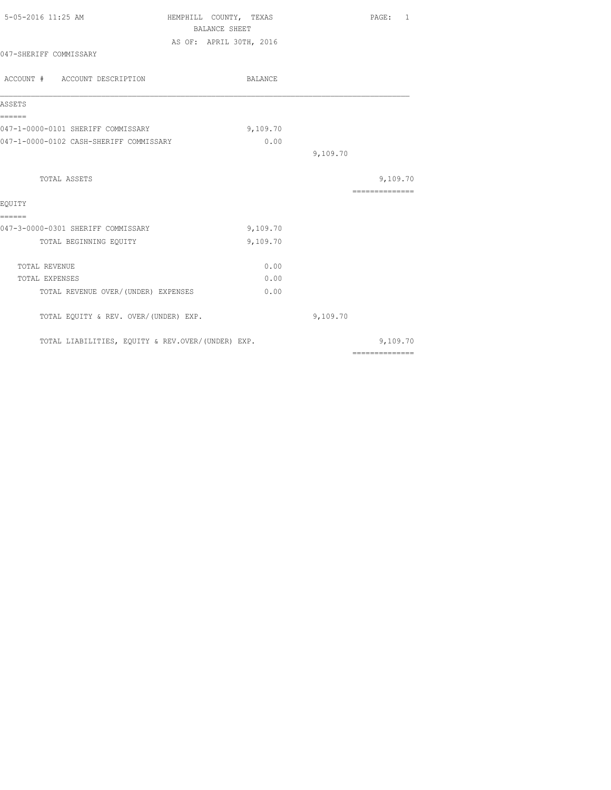| 5-05-2016 11:25 AM                                | HEMPHILL COUNTY, TEXAS  |          | PAGE: 1         |
|---------------------------------------------------|-------------------------|----------|-----------------|
|                                                   | <b>BALANCE SHEET</b>    |          |                 |
|                                                   | AS OF: APRIL 30TH, 2016 |          |                 |
| 047-SHERIFF COMMISSARY                            |                         |          |                 |
| ACCOUNT # ACCOUNT DESCRIPTION                     | BALANCE                 |          |                 |
| ASSETS                                            |                         |          |                 |
| ======<br>047-1-0000-0101 SHERIFF COMMISSARY      | 9,109.70                |          |                 |
| 047-1-0000-0102 CASH-SHERIFF COMMISSARY           | 0.00                    |          |                 |
|                                                   |                         | 9,109.70 |                 |
| TOTAL ASSETS                                      |                         |          | 9,109.70        |
|                                                   |                         |          | --------------- |
| EQUITY                                            |                         |          |                 |
| ======<br>047-3-0000-0301 SHERIFF COMMISSARY      | 9,109.70                |          |                 |
| TOTAL BEGINNING EQUITY                            | 9,109.70                |          |                 |
| TOTAL REVENUE                                     | 0.00                    |          |                 |
| TOTAL EXPENSES                                    | 0.00                    |          |                 |
| TOTAL REVENUE OVER/(UNDER) EXPENSES               | 0.00                    |          |                 |
| TOTAL EQUITY & REV. OVER/(UNDER) EXP.             |                         | 9,109.70 |                 |
| TOTAL LIABILITIES, EQUITY & REV.OVER/(UNDER) EXP. |                         |          | 9,109.70        |
|                                                   |                         |          | ==============  |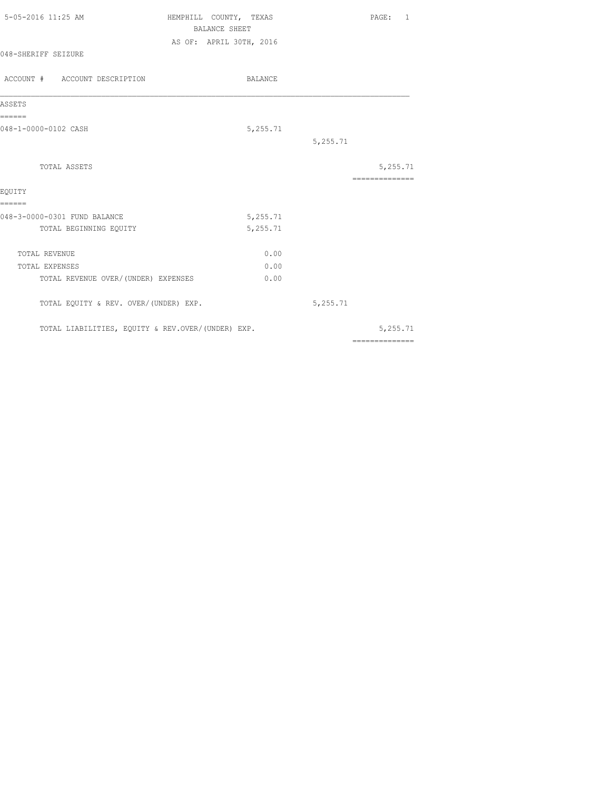| 5-05-2016 11:25 AM                                | HEMPHILL COUNTY, TEXAS  | PAGE:<br>-1.                                                                                                                                                                                                                                                                                                                                                                                                                                                                           |
|---------------------------------------------------|-------------------------|----------------------------------------------------------------------------------------------------------------------------------------------------------------------------------------------------------------------------------------------------------------------------------------------------------------------------------------------------------------------------------------------------------------------------------------------------------------------------------------|
|                                                   | <b>BALANCE SHEET</b>    |                                                                                                                                                                                                                                                                                                                                                                                                                                                                                        |
| 048-SHERIFF SEIZURE                               | AS OF: APRIL 30TH, 2016 |                                                                                                                                                                                                                                                                                                                                                                                                                                                                                        |
| ACCOUNT # ACCOUNT DESCRIPTION                     | BALANCE                 |                                                                                                                                                                                                                                                                                                                                                                                                                                                                                        |
| ASSETS                                            |                         |                                                                                                                                                                                                                                                                                                                                                                                                                                                                                        |
| ======<br>048-1-0000-0102 CASH                    | 5,255.71                |                                                                                                                                                                                                                                                                                                                                                                                                                                                                                        |
|                                                   |                         | 5,255.71                                                                                                                                                                                                                                                                                                                                                                                                                                                                               |
| TOTAL ASSETS                                      |                         | 5,255.71                                                                                                                                                                                                                                                                                                                                                                                                                                                                               |
| EOUITY                                            |                         | ==============                                                                                                                                                                                                                                                                                                                                                                                                                                                                         |
| ======                                            |                         |                                                                                                                                                                                                                                                                                                                                                                                                                                                                                        |
| 048-3-0000-0301 FUND BALANCE                      | 5,255.71                |                                                                                                                                                                                                                                                                                                                                                                                                                                                                                        |
| TOTAL BEGINNING EQUITY                            | 5,255.71                |                                                                                                                                                                                                                                                                                                                                                                                                                                                                                        |
| TOTAL REVENUE                                     | 0.00                    |                                                                                                                                                                                                                                                                                                                                                                                                                                                                                        |
| TOTAL EXPENSES                                    | 0.00                    |                                                                                                                                                                                                                                                                                                                                                                                                                                                                                        |
| TOTAL REVENUE OVER/(UNDER) EXPENSES               | 0.00                    |                                                                                                                                                                                                                                                                                                                                                                                                                                                                                        |
| TOTAL EQUITY & REV. OVER/(UNDER) EXP.             |                         | 5,255.71                                                                                                                                                                                                                                                                                                                                                                                                                                                                               |
| TOTAL LIABILITIES, EQUITY & REV.OVER/(UNDER) EXP. |                         | 5,255.71                                                                                                                                                                                                                                                                                                                                                                                                                                                                               |
|                                                   |                         | $\begin{array}{cccccccccccccc} \multicolumn{2}{c}{} & \multicolumn{2}{c}{} & \multicolumn{2}{c}{} & \multicolumn{2}{c}{} & \multicolumn{2}{c}{} & \multicolumn{2}{c}{} & \multicolumn{2}{c}{} & \multicolumn{2}{c}{} & \multicolumn{2}{c}{} & \multicolumn{2}{c}{} & \multicolumn{2}{c}{} & \multicolumn{2}{c}{} & \multicolumn{2}{c}{} & \multicolumn{2}{c}{} & \multicolumn{2}{c}{} & \multicolumn{2}{c}{} & \multicolumn{2}{c}{} & \multicolumn{2}{c}{} & \multicolumn{2}{c}{} & \$ |